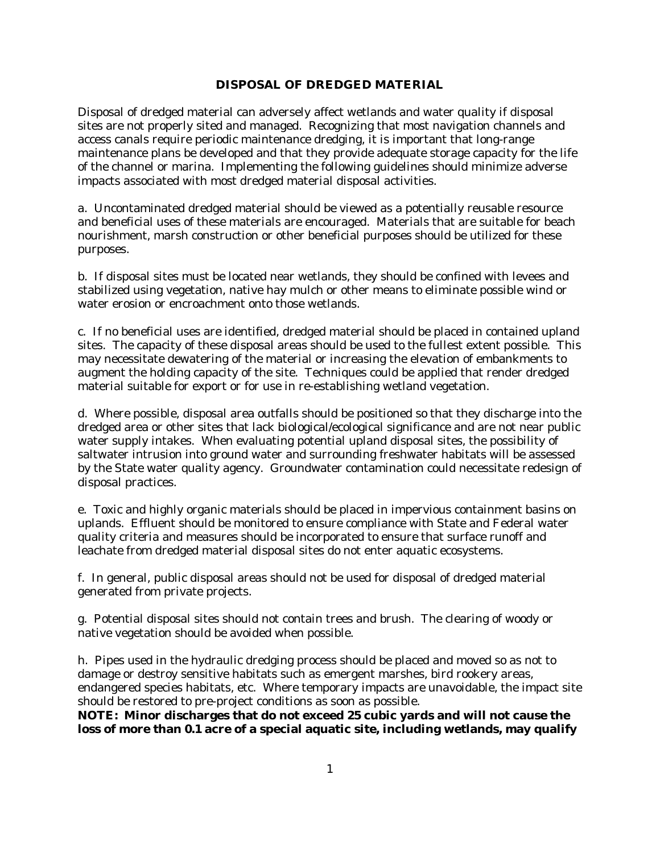## **DISPOSAL OF DREDGED MATERIAL**

Disposal of dredged material can adversely affect wetlands and water quality if disposal sites are not properly sited and managed. Recognizing that most navigation channels and access canals require periodic maintenance dredging, it is important that long-range maintenance plans be developed and that they provide adequate storage capacity for the life of the channel or marina. Implementing the following guidelines should minimize adverse impacts associated with most dredged material disposal activities.

a. Uncontaminated dredged material should be viewed as a potentially reusable resource and beneficial uses of these materials are encouraged. Materials that are suitable for beach nourishment, marsh construction or other beneficial purposes should be utilized for these purposes.

b. If disposal sites must be located near wetlands, they should be confined with levees and stabilized using vegetation, native hay mulch or other means to eliminate possible wind or water erosion or encroachment onto those wetlands.

c. If no beneficial uses are identified, dredged material should be placed in contained upland sites. The capacity of these disposal areas should be used to the fullest extent possible. This may necessitate dewatering of the material or increasing the elevation of embankments to augment the holding capacity of the site. Techniques could be applied that render dredged material suitable for export or for use in re-establishing wetland vegetation.

d. Where possible, disposal area outfalls should be positioned so that they discharge into the dredged area or other sites that lack biological/ecological significance and are not near public water supply intakes. When evaluating potential upland disposal sites, the possibility of saltwater intrusion into ground water and surrounding freshwater habitats will be assessed by the State water quality agency. Groundwater contamination could necessitate redesign of disposal practices.

e. Toxic and highly organic materials should be placed in impervious containment basins on uplands. Effluent should be monitored to ensure compliance with State and Federal water quality criteria and measures should be incorporated to ensure that surface runoff and leachate from dredged material disposal sites do not enter aquatic ecosystems.

f. In general, public disposal areas should not be used for disposal of dredged material generated from private projects.

g. Potential disposal sites should not contain trees and brush. The clearing of woody or native vegetation should be avoided when possible.

h. Pipes used in the hydraulic dredging process should be placed and moved so as not to damage or destroy sensitive habitats such as emergent marshes, bird rookery areas, endangered species habitats, etc. Where temporary impacts are unavoidable, the impact site should be restored to pre-project conditions as soon as possible.

**NOTE: Minor discharges that do not exceed 25 cubic yards and will not cause the loss of more than 0.1 acre of a special aquatic site, including wetlands, may qualify**